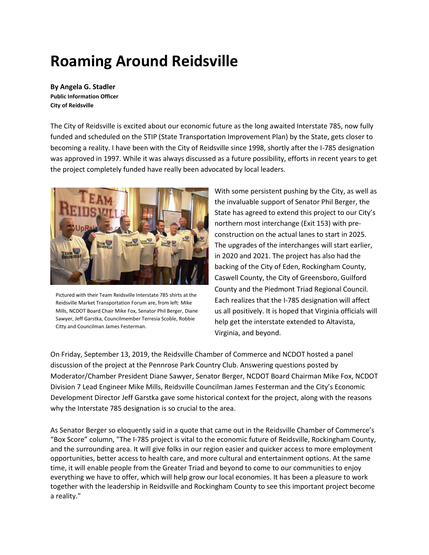## **Roaming Around Reidsville**

**By Angela G. Stadler Public Information Officer City of Reidsville**

The City of Reidsville is excited about our economic future as the long awaited Interstate 785, now fully funded and scheduled on the STIP (State Transportation Improvement Plan) by the State, gets closer to becoming a reality. I have been with the City of Reidsville since 1998, shortly after the I-785 designation was approved in 1997. While it was always discussed as a future possibility, efforts in recent years to get the project completely funded have really been advocated by local leaders.



Pictured with their Team Reidsville Interstate 785 shirts at the Reidsville Market Transportation Forum are, from left: Mike Mills, NCDOT Board Chair Mike Fox, Senator Phil Berger, Diane Sawyer, Jeff Garstka, Councilmember Terresia Scoble, Robbie Citty and Councilman James Festerman.

With some persistent pushing by the City, as well as the invaluable support of Senator Phil Berger, the State has agreed to extend this project to our City's northern most interchange (Exit 153) with preconstruction on the actual lanes to start in 2025. The upgrades of the interchanges will start earlier, in 2020 and 2021. The project has also had the backing of the City of Eden, Rockingham County, Caswell County, the City of Greensboro, Guilford County and the Piedmont Triad Regional Council. Each realizes that the I-785 designation will affect us all positively. It is hoped that Virginia officials will help get the interstate extended to Altavista, Virginia, and beyond.

On Friday, September 13, 2019, the Reidsville Chamber of Commerce and NCDOT hosted a panel discussion of the project at the Pennrose Park Country Club. Answering questions posted by Moderator/Chamber President Diane Sawyer, Senator Berger, NCDOT Board Chairman Mike Fox, NCDOT Division 7 Lead Engineer Mike Mills, Reidsville Councilman James Festerman and the City's Economic Development Director Jeff Garstka gave some historical context for the project, along with the reasons why the Interstate 785 designation is so crucial to the area.

As Senator Berger so eloquently said in a quote that came out in the Reidsville Chamber of Commerce's "Box Score" column, "The I-785 project is vital to the economic future of Reidsville, Rockingham County, and the surrounding area. It will give folks in our region easier and quicker access to more employment opportunities, better access to health care, and more cultural and entertainment options. At the same time, it will enable people from the Greater Triad and beyond to come to our communities to enjoy everything we have to offer, which will help grow our local economies. It has been a pleasure to work together with the leadership in Reidsville and Rockingham County to see this important project become a reality."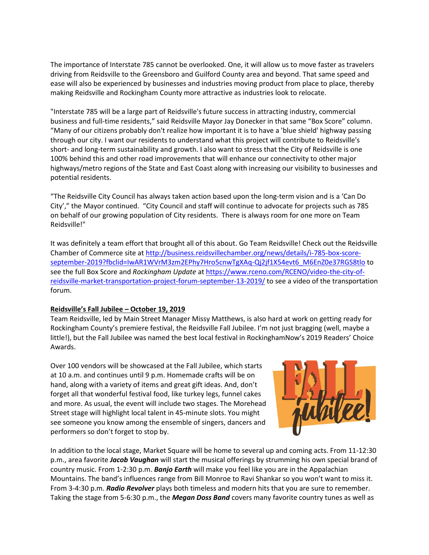The importance of Interstate 785 cannot be overlooked. One, it will allow us to move faster as travelers driving from Reidsville to the Greensboro and Guilford County area and beyond. That same speed and ease will also be experienced by businesses and industries moving product from place to place, thereby making Reidsville and Rockingham County more attractive as industries look to relocate.

"Interstate 785 will be a large part of Reidsville's future success in attracting industry, commercial business and full-time residents," said Reidsville Mayor Jay Donecker in that same "Box Score" column. "Many of our citizens probably don't realize how important it is to have a 'blue shield' highway passing through our city. I want our residents to understand what this project will contribute to Reidsville's short- and long-term sustainability and growth. I also want to stress that the City of Reidsville is one 100% behind this and other road improvements that will enhance our connectivity to other major highways/metro regions of the State and East Coast along with increasing our visibility to businesses and potential residents.

"The Reidsville City Council has always taken action based upon the long-term vision and is a 'Can Do City'," the Mayor continued. "City Council and staff will continue to advocate for projects such as 785 on behalf of our growing population of City residents. There is always room for one more on Team Reidsville!"

It was definitely a team effort that brought all of this about. Go Team Reidsville! Check out the Reidsville Chamber of Commerce site at [http://business.reidsvillechamber.org/news/details/i-785-box-score](http://business.reidsvillechamber.org/news/details/i-785-box-score-september-2019?fbclid=IwAR1WVrM3zm2EPhy7Hro5cnwTgXAq-Qj2jf1X54evt6_M6EnZ0e37RGS8tlo)[september-2019?fbclid=IwAR1WVrM3zm2EPhy7Hro5cnwTgXAq-Qj2jf1X54evt6\\_M6EnZ0e37RGS8tlo](http://business.reidsvillechamber.org/news/details/i-785-box-score-september-2019?fbclid=IwAR1WVrM3zm2EPhy7Hro5cnwTgXAq-Qj2jf1X54evt6_M6EnZ0e37RGS8tlo) to see the full Box Score and *Rockingham Update* at [https://www.rceno.com/RCENO/video-the-city-of](https://www.rceno.com/RCENO/video-the-city-of-reidsville-market-transportation-project-forum-september-13-2019/)[reidsville-market-transportation-project-forum-september-13-2019/](https://www.rceno.com/RCENO/video-the-city-of-reidsville-market-transportation-project-forum-september-13-2019/) to see a video of the transportation forum.

## **Reidsville's Fall Jubilee – October 19, 2019**

Team Reidsville, led by Main Street Manager Missy Matthews, is also hard at work on getting ready for Rockingham County's premiere festival, the Reidsville Fall Jubilee. I'm not just bragging (well, maybe a little!), but the Fall Jubilee was named the best local festival in RockinghamNow's 2019 Readers' Choice Awards.

Over 100 vendors will be showcased at the Fall Jubilee, which starts at 10 a.m. and continues until 9 p.m. Homemade crafts will be on hand, along with a variety of items and great gift ideas. And, don't forget all that wonderful festival food, like turkey legs, funnel cakes and more. As usual, the event will include two stages. The Morehead Street stage will highlight local talent in 45-minute slots. You might see someone you know among the ensemble of singers, dancers and performers so don't forget to stop by.



In addition to the local stage, Market Square will be home to several up and coming acts. From 11-12:30 p.m., area favorite *Jacob Vaughan* will start the musical offerings by strumming his own special brand of country music. From 1-2:30 p.m. *Banjo Earth* will make you feel like you are in the Appalachian Mountains. The band's influences range from Bill Monroe to Ravi Shankar so you won't want to miss it. From 3-4:30 p.m. *Radio Revolver* plays both timeless and modern hits that you are sure to remember. Taking the stage from 5-6:30 p.m., the *Megan Doss Band* covers many favorite country tunes as well as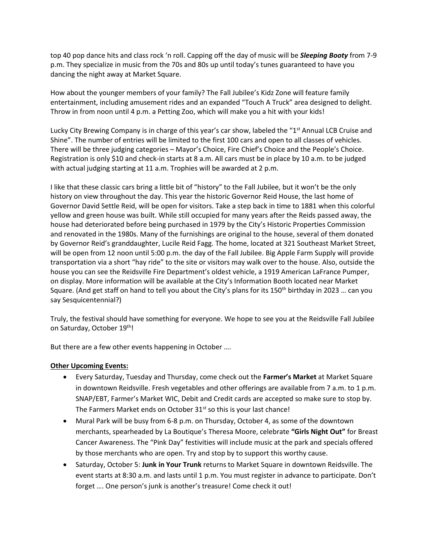top 40 pop dance hits and class rock 'n roll. Capping off the day of music will be *Sleeping Booty* from 7-9 p.m. They specialize in music from the 70s and 80s up until today's tunes guaranteed to have you dancing the night away at Market Square.

How about the younger members of your family? The Fall Jubilee's Kidz Zone will feature family entertainment, including amusement rides and an expanded "Touch A Truck" area designed to delight. Throw in from noon until 4 p.m. a Petting Zoo, which will make you a hit with your kids!

Lucky City Brewing Company is in charge of this year's car show, labeled the "1<sup>st</sup> Annual LCB Cruise and Shine". The number of entries will be limited to the first 100 cars and open to all classes of vehicles. There will be three judging categories – Mayor's Choice, Fire Chief's Choice and the People's Choice. Registration is only \$10 and check-in starts at 8 a.m. All cars must be in place by 10 a.m. to be judged with actual judging starting at 11 a.m. Trophies will be awarded at 2 p.m.

I like that these classic cars bring a little bit of "history" to the Fall Jubilee, but it won't be the only history on view throughout the day. This year the historic Governor Reid House, the last home of Governor David Settle Reid, will be open for visitors. Take a step back in time to 1881 when this colorful yellow and green house was built. While still occupied for many years after the Reids passed away, the house had deteriorated before being purchased in 1979 by the City's Historic Properties Commission and renovated in the 1980s. Many of the furnishings are original to the house, several of them donated by Governor Reid's granddaughter, Lucile Reid Fagg. The home, located at 321 Southeast Market Street, will be open from 12 noon until 5:00 p.m. the day of the Fall Jubilee. Big Apple Farm Supply will provide transportation via a short "hay ride" to the site or visitors may walk over to the house. Also, outside the house you can see the Reidsville Fire Department's oldest vehicle, a 1919 American LaFrance Pumper, on display. More information will be available at the City's Information Booth located near Market Square. (And get staff on hand to tell you about the City's plans for its 150<sup>th</sup> birthday in 2023 ... can you say Sesquicentennial?)

Truly, the festival should have something for everyone. We hope to see you at the Reidsville Fall Jubilee on Saturday, October 19th!

But there are a few other events happening in October ….

## **Other Upcoming Events:**

- Every Saturday, Tuesday and Thursday, come check out the **Farmer's Market** at Market Square in downtown Reidsville. Fresh vegetables and other offerings are available from 7 a.m. to 1 p.m. SNAP/EBT, Farmer's Market WIC, Debit and Credit cards are accepted so make sure to stop by. The Farmers Market ends on October 31<sup>st</sup> so this is your last chance!
- Mural Park will be busy from 6-8 p.m. on Thursday, October 4, as some of the downtown merchants, spearheaded by La Boutique's Theresa Moore, celebrate **"Girls Night Out"** for Breast Cancer Awareness. The "Pink Day" festivities will include music at the park and specials offered by those merchants who are open. Try and stop by to support this worthy cause.
- Saturday, October 5: **Junk in Your Trunk** returns to Market Square in downtown Reidsville. The event starts at 8:30 a.m. and lasts until 1 p.m. You must register in advance to participate. Don't forget …. One person's junk is another's treasure! Come check it out!